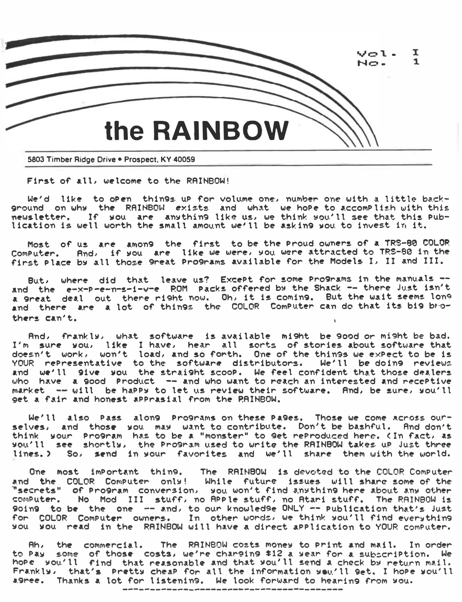

First of all, welcome to the RAINBOW!

We'd like to open things up for volume one, number one with a little background on why the RAINBOW exists and what we hope to accomplish with this newsletter. If you are anything like us, we think you'll see that this publication is well worth the small amount we'll be asking you to invest in it.

Most of us are among the first to be the Proud owners of a TRS-80 COLOR<br>Computer. And, if you are like we were, you were attracted to TRS-80 in the first place by all those 9reat Pro9rams available for the Models I, II and III.

But, where did that leave us? Except for some programs in the manuals -and the e-x-p-e-n-s-1-v-e ROM Packs offered by the Shack -- there Just isn't a great deal out there right now. Oh, it is coming. But the wait seems long and there are a lot of things the COLOR Computer can do that its big brothers can't.

And, frankly, what software is available might be 900d or might be bad. I'm sure you, like I have, hear all sorts of stories about software that doesn't work, won't load, and so forth. One of the things we expect to be is YOUR representative to the software distributors. We'll be doins reviews and we'll sive you the straisht scoop. We feel confident that those dealers<br>who have a sood Product -- and who want to reach an interested and receptive market -- will be happy to let us review their software. And, be sure, you'll get a fair and honest apprasial from the PAINBOW.

We'll also Pass along Programs on these Pages. Those we come across ourselves, and those you may want to contribute. Don't be bashful. And don't think your Pro9ram has to be a "monster" to 9et reProduced here. (In fact, as you'll see shortly, the Pro9ram used to write the RAINBOW takes up Just three So, send in your favorites and we'll share them with the world. lines.)

One most important thing, The RAINBOW is devoted to the COLOR Computer and the COLOR Computer only! While future issues will share some of the<br>"secrets" of Program conversion, you won't find anything here about any other computer. No Mod III stuff, no APPle stuff, no Atari stuff. The RAINBOW is 90in9 to be the one -- and, to our knowledse ONLY -- publication that's just for COLOR Computer owners. In other words, we think you'll find everything you you read in the RAINBOW will have a direct application to YOUR computer.

Ah, the commercial. The RAINBOW costs mones to Print and mail. In order to Pay some of those costs, we're charging \$12 a year for a subscription. We hope you'll find that reasonable and that you'll send a check by return mail. Frankly, that's Pretty cheap for all the information you'll get. I hope you'll agree. Thanks a lot for listening. We look forward to hearing from you.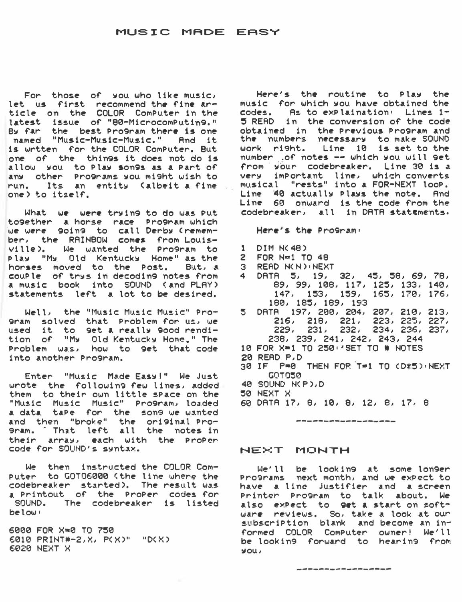# MUSIC MADE EASY

For those of you who like music. let us first recommend the fine article on the COLOR Computer in the latest issue of "80-MicrocomPutin9." By far the best Program there is one named "Music-Music-Music." And it is wrtten for the COLOR Computer. But one of the things it does not do is allow you to Play son9s as a Part of any other Programs you might wish to run. Its an entity (albeit a fine one) to itself.

What we were trying to do was Put together a horse race Program which we were going to call Derby (remember, the RAINBOW comes from Louisville). We wanted the Program to play "My Old Kentucky Home" as the horses moved to the Post. But, a couple of trus in decoding notes from<br>a music book into SOUND (and PLAY) statements left a lot to be desired.

Well, the "Music Music Music" Pro-9ram solved that Problem for us, we used it to get a really good rendition of "My Old Kentucky Home." The Problem was, how to get that code into another Program.

Enter "Music Made Easy!" We Just wrote the following few lines, added them to their own little space on the "Music Music Music" Program, loaded a data tape for the song we wanted<br>and then "broke" the original Pro-9ram. That left all the notes in their array, each with the ProPer code for SOUND's syntax.

We then instructed the COLOR Computer to GOTO6000 (the line where the codebreaker started). The result was a Printout of the ProPer codes for SOUND. The codebreaker is listed below:

6000 FOR X=0 TO 750 6010 PRINT#-2, X, P(X)" "D(X) 6020 NEXT X

Here's the routine to Play the music for which you have obtained the codes. As to explaination: Lines 1-5 READ in the conversion of the code obtained in the Previous Program and the numbers necessary to make SOUND<br>work right. Line 10 is set to the number of notes -- which you will get from your codebreaker. Line 30 is a very important line, which converts musical "rests" into a FOR-NEXT loop. Line 40 actually Plays the note. And Line 60 onward is the code from the codebreaker, all in DATA statements.

Here's the Program:

- $1$  DIM  $N(48)$
- 2 FOR N=1 TO 48
- 3 READ N(N) NEXT
- 4 DRTR 5, 19, 32, 45, 58, 69, 78,<br>89, 99, 108, 117, 125, 133, 140,  $147, 153, 159, 165, 170, 176,$ 180, 185, 189, 193
- 5 DATA 197, 200, 204, 207, 210, 213,<br>216, 218, 221, 223, 225, 227,<br>229, 231, 232, 234, 236, 237, 238, 239, 241, 242, 243, 244
- 10 FOR X=1 TO 250 · 'SET TO # NOTES
- 20 READ P.D
- 30 IF P=0 THEN FOR T=1 TO (D\*5) NEXT GOTOSA
- 40 SOUND N(P), D
- 50 NEXT X
- 60 DATA 17, 8, 10, 8, 12, 8, 17, 8

# NEXT MONTH

We'll be looking at some longer Programs next month, and we expect to have a line justifier and a screen Printer Pro9ram to talk about. We also expect to get a start on software reviews. So, take a look at our subscription blank and become an informed COLOR Computer owner! We'll be looking forward to hearing from **VOU**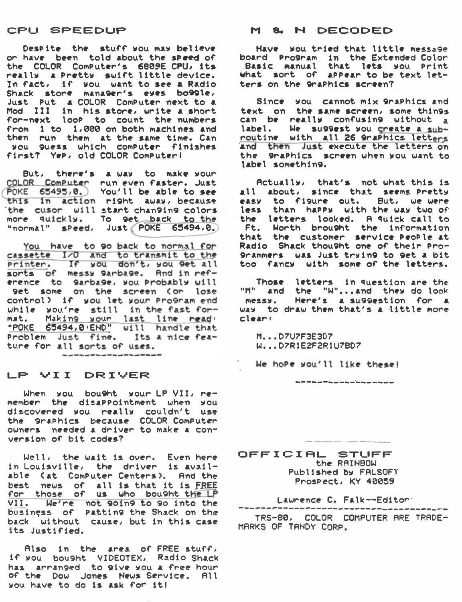# CPU SPEEDUP

Despite the stuff you may believe or have been told about the speed of the COLOR Computer's 6809E CPU, its really a Pretty swift little device. In fact, if you want to see a Radio<br>Shack store mana9er's eyes bo99le, Just Put a COLOR Computer next to a Mod III in his store, write a short for-next loop to count the numbers from 1 to 1,000 on both machines and then run them at the same time. Can you guess which computer finishes first? Yep, old COLOR Computer!

But, there's a way to make your COLOR Computer run even faster. Just<br>POKE 65495,0. You'll be able to see<br>this in action right away, because the cusor will start changing colors more quickly. To get back to the<br>"normal" sPeed, Just POKE 65494.0.

You have to go back to normal for cassette I/O and to transmit to the printer. If you don't, you get all<br>sorts of messy garbage. And in reference to SarbaSe, you Probably will get some on the screen (or lose control) if you let your Program end while you're still in the fast format. Making your last line ready<br>"POKE 65494,0 END" will handle that<br>Problem Just fine. Its a nice feature for all sorts of uses. 

### LP VII DRIVER

When you bought your LP VII, remember the disappointment when you discovered you really couldn't use the smaphics because COLOR Computer owners needed a driver to make a conversion of bit codes?

Well, the wait is over. Even here in Louisville, the driver is available (at Computer Centers). And the<br>best news of all is that it is FREE<br>for those of us who bought the LP VII. We're not 90in9 to 90 into the business of Patting the Shack on the back without cause, but in this case its Justified.

Also in the area of FREE stuff, if you bought VIDEOTEX, Radio Shack has arranged to give you a free hour of the Dow Jones News Service. All you have to do is ask for it!

#### M & N DECODED

Have you tried that little message board Pro9ram in the Extended Color<br>Basic manual that lets you Print what sort of appear to be text letters on the 9raphics screen?

Since you cannot mix 9raPhics and text on the same screen, some things can be really confusing without a label. We suggest you create a subroutine with all 26 graphics letters and then Just execute the letters on the Smaphics screen when you want to label something.

Actually, that's not what this is all about, since that seems Pretty easy to figure out. But, we were less than happy with the way two of the letters looked. A quick call to Ft. Worth brought the information<br>that the customer service PeoPle at<br>Radio Shack thought one of their Pro-9rammers was Just trying to get a bit too fancy with some of the letters.

Those letters in question are the "M" and the "W"...and they do look messy. Here's a suggestion for a way to draw them that's a little more  $claxri$ 

\_\_\_\_\_\_\_\_\_\_\_\_\_\_\_\_\_\_\_\_\_

M...D7U7F3E3D7 W...D7R1E2F2R1U7BD7

We hope you'll like these!

OFFICIAL STUFF the RAINBOW Published by FALSOFT Prospect, KY 40059

Lawrence C. Falk--Editor:

--------------------TRS-80, COLOR COMPUTER ARE TRADE-MARKS OF TANDY CORP.